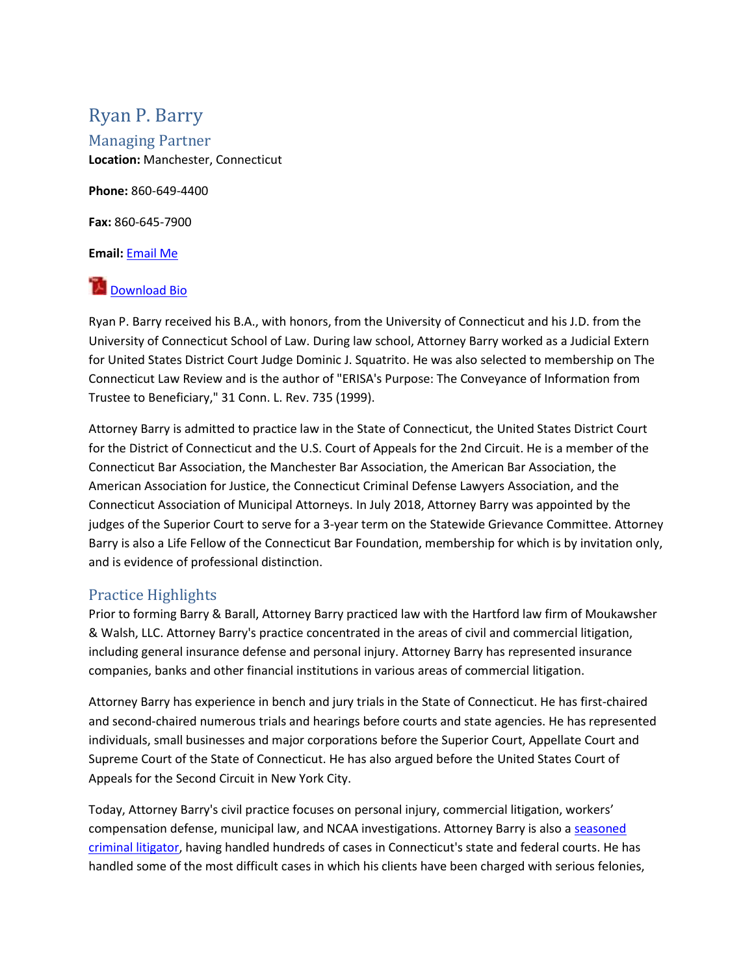# Ryan P. Barry

Managing Partner **Location:** Manchester, Connecticut

**Phone:** 860-649-4400

**Fax:** 860-645-7900

**Email:** [Email Me](https://www.bbsattorneys.com/E-mail.shtml?guid=qSxeaJI10/Rhmjt5pkB37XVjEQqSatLrUzEpihZaO7GoZ6TpOB3kxGP980rgVSIIOiOyBNKCZeOtMTGIray6RDZmtIj+i0+jHltwDBeX5qakz18utudDgvufeY0rKvQ+DL//peYjgh+pZX2HppOySWoBLdBT1tU88LDRe+YWkHs=&attorneyName=Ryan%20P.%20Barry)

# **[Download Bio](https://www.bbsattorneys.com/Ryan-P-Barry-Bio.PDF)**

Ryan P. Barry received his B.A., with honors, from the University of Connecticut and his J.D. from the University of Connecticut School of Law. During law school, Attorney Barry worked as a Judicial Extern for United States District Court Judge Dominic J. Squatrito. He was also selected to membership on The Connecticut Law Review and is the author of "ERISA's Purpose: The Conveyance of Information from Trustee to Beneficiary," 31 Conn. L. Rev. 735 (1999).

Attorney Barry is admitted to practice law in the State of Connecticut, the United States District Court for the District of Connecticut and the U.S. Court of Appeals for the 2nd Circuit. He is a member of the Connecticut Bar Association, the Manchester Bar Association, the American Bar Association, the American Association for Justice, the Connecticut Criminal Defense Lawyers Association, and the Connecticut Association of Municipal Attorneys. In July 2018, Attorney Barry was appointed by the judges of the Superior Court to serve for a 3-year term on the Statewide Grievance Committee. Attorney Barry is also a Life Fellow of the Connecticut Bar Foundation, membership for which is by invitation only, and is evidence of professional distinction.

# Practice Highlights

Prior to forming Barry & Barall, Attorney Barry practiced law with the Hartford law firm of Moukawsher & Walsh, LLC. Attorney Barry's practice concentrated in the areas of civil and commercial litigation, including general insurance defense and personal injury. Attorney Barry has represented insurance companies, banks and other financial institutions in various areas of commercial litigation.

Attorney Barry has experience in bench and jury trials in the State of Connecticut. He has first-chaired and second-chaired numerous trials and hearings before courts and state agencies. He has represented individuals, small businesses and major corporations before the Superior Court, Appellate Court and Supreme Court of the State of Connecticut. He has also argued before the United States Court of Appeals for the Second Circuit in New York City.

Today, Attorney Barry's civil practice focuses on personal injury, commercial litigation, workers' compensation defense, municipal law, and NCAA investigations. Attorney Barry is also a seasoned [criminal litigator,](http://50.28.36.84/~bbsattorneys/criminal-defense/) having handled hundreds of cases in Connecticut's state and federal courts. He has handled some of the most difficult cases in which his clients have been charged with serious felonies,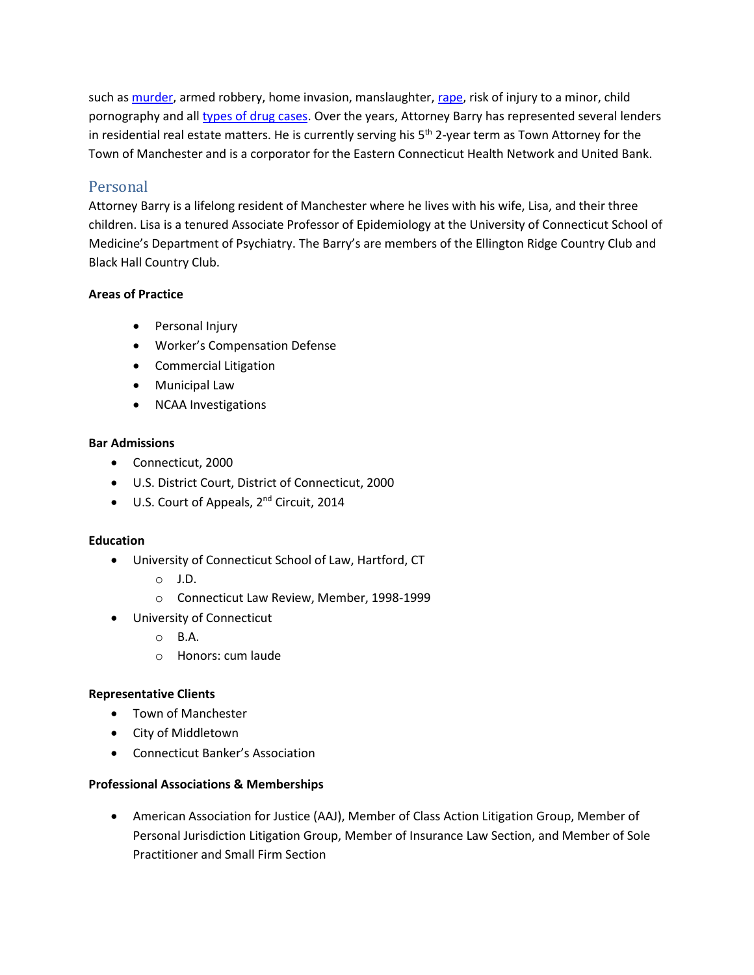such as [murder,](http://50.28.36.84/~bbsattorneys/criminal-defense/murder-homicide/) armed robbery, home invasion, manslaughter[, rape,](http://50.28.36.84/~bbsattorneys/criminal-defense/sex-crimes/rape/) risk of injury to a minor, child pornography and al[l types of drug cases.](http://50.28.36.84/~bbsattorneys/criminal-defense/drug-narcotic/) Over the years, Attorney Barry has represented several lenders in residential real estate matters. He is currently serving his 5<sup>th</sup> 2-year term as Town Attorney for the Town of Manchester and is a corporator for the Eastern Connecticut Health Network and United Bank.

# Personal

Attorney Barry is a lifelong resident of Manchester where he lives with his wife, Lisa, and their three children. Lisa is a tenured Associate Professor of Epidemiology at the University of Connecticut School of Medicine's Department of Psychiatry. The Barry's are members of the Ellington Ridge Country Club and Black Hall Country Club.

## **Areas of Practice**

- Personal Injury
- Worker's Compensation Defense
- Commercial Litigation
- Municipal Law
- NCAA Investigations

## **Bar Admissions**

- Connecticut, 2000
- U.S. District Court, District of Connecticut, 2000
- U.S. Court of Appeals, 2<sup>nd</sup> Circuit, 2014

#### **Education**

- University of Connecticut School of Law, Hartford, CT
	- o J.D.
	- o Connecticut Law Review, Member, 1998-1999
- University of Connecticut
	- o B.A.
	- o Honors: cum laude

#### **Representative Clients**

- Town of Manchester
- City of Middletown
- Connecticut Banker's Association

#### **Professional Associations & Memberships**

• American Association for Justice (AAJ), Member of Class Action Litigation Group, Member of Personal Jurisdiction Litigation Group, Member of Insurance Law Section, and Member of Sole Practitioner and Small Firm Section